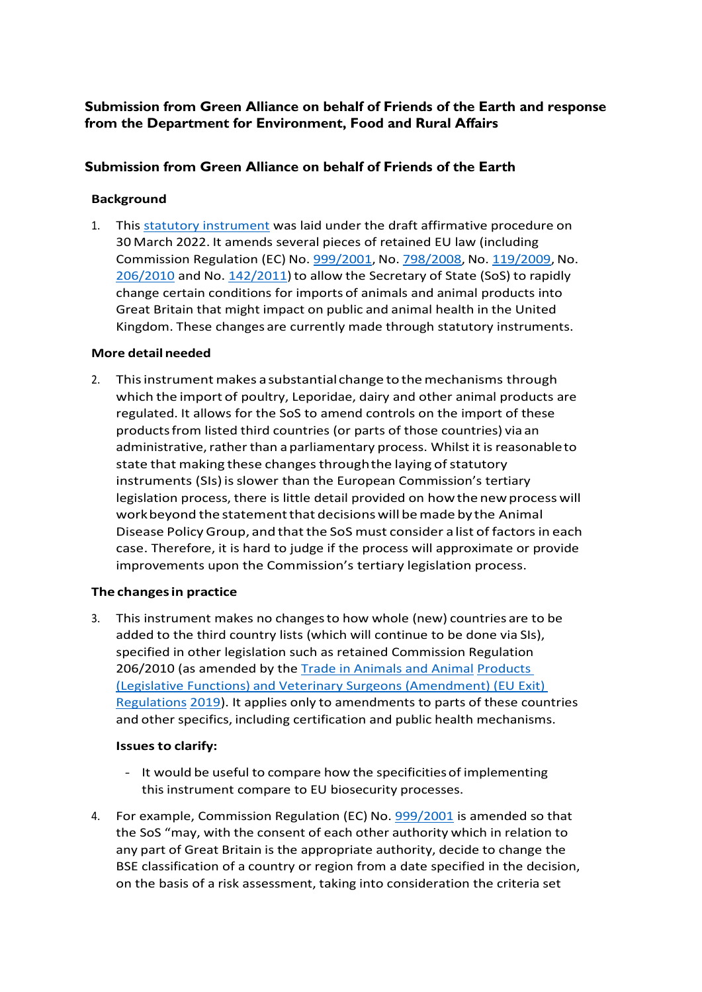## **Submission from Green Alliance on behalf of Friends of the Earth and response from the Department for Environment, Food and Rural Affairs**

### **Submission from Green Alliance on behalf of Friends of the Earth**

#### **Background**

1. This statutory [instrument](https://www.legislation.gov.uk/ukdsi/2022/9780348234282) was laid under the draft affirmative procedure on 30 March 2022. It amends several pieces of retained EU law (including Commission Regulation (EC) No. [999/2001,](https://www.legislation.gov.uk/european/regulation/2001/0999) No. [798/2008,](https://www.legislation.gov.uk/european/regulation/2008/0798) No. [119/2009,](https://www.legislation.gov.uk/european/regulation/2009/0119) No. [206/2010](https://www.legislation.gov.uk/european/regulation/2010/0206) and No. [142/2011\)](https://www.legislation.gov.uk/european/regulation/2011/0142) to allow the Secretary of State (SoS) to rapidly change certain conditions for imports of animals and animal products into Great Britain that might impact on public and animal health in the United Kingdom. These changes are currently made through statutory instruments.

#### **More detail needed**

2. This instrument makes a substantial change to the mechanisms through which the import of poultry, Leporidae, dairy and other animal products are regulated. It allows for the SoS to amend controls on the import of these productsfrom listed third countries (or parts of those countries) via an administrative, rather than a parliamentary process. Whilst it is reasonable to state that making these changes through the laying of statutory instruments (SIs) is slower than the European Commission's tertiary legislation process, there is little detail provided on how the new process will work beyond the statement that decisions will be made by the Animal Disease PolicyGroup, and thatthe SoS must consider a list of factorsin each case. Therefore, it is hard to judge if the process will approximate or provide improvements upon the Commission's tertiary legislation process.

### **The changesin practice**

3. This instrument makes no changesto how whole (new) countries are to be added to the third country lists (which will continue to be done via SIs), specified in other legislation such as retained Commission Regulation 206/2010 (as amended by the [Trade in Animals and](https://www.legislation.gov.uk/uksi/2019/1225/regulation/9/made) Animal [Products](https://www.legislation.gov.uk/uksi/2019/1225/regulation/9/made)  (Legislative Functions) and Veterinary [Surgeons \(Amendment\) \(EU Exit\)](https://www.legislation.gov.uk/uksi/2019/1225/regulation/9/made) [Regulations](https://www.legislation.gov.uk/uksi/2019/1225/regulation/9/made) [2019\)](https://www.legislation.gov.uk/uksi/2019/1225/regulation/9/made). It applies only to amendments to parts of these countries and other specifics, including certification and public health mechanisms.

### **Issues to clarify:**

- It would be useful to compare how the specificitiesof implementing this instrument compare to EU biosecurity processes.
- 4. For example, Commission Regulation (EC) No. [999/2001](https://www.legislation.gov.uk/european/regulation/2001/0999) is amended so that the SoS "may, with the consent of each other authority which in relation to any part of Great Britain is the appropriate authority, decide to change the BSE classification of a country or region from a date specified in the decision, on the basis of a risk assessment, taking into consideration the criteria set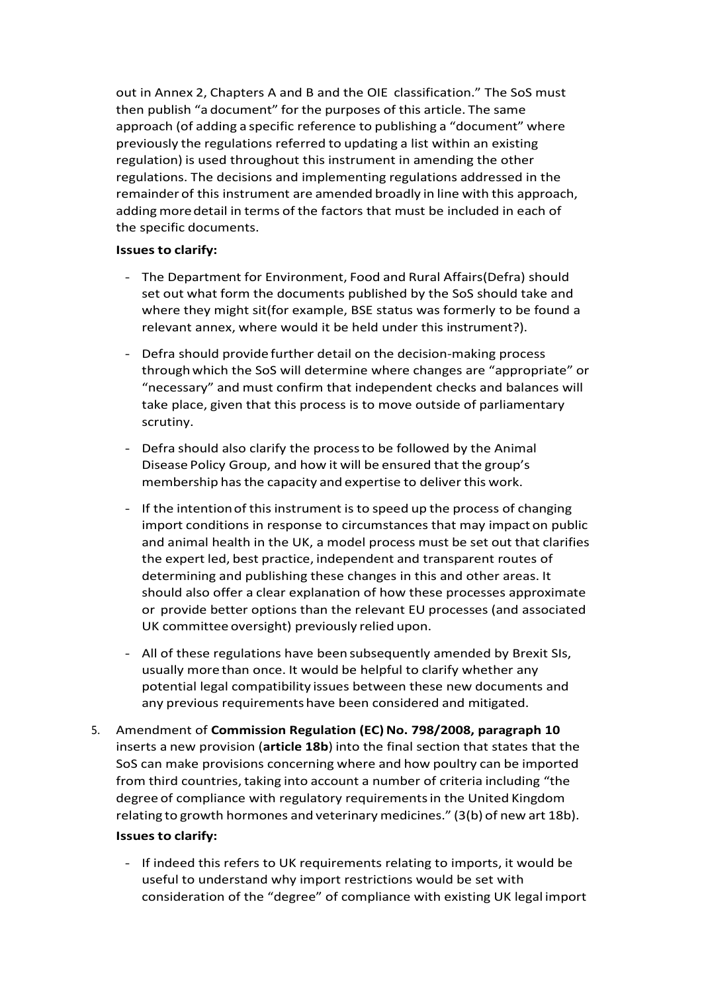out in Annex 2, Chapters A and B and the OIE classification." The SoS must then publish "a document" for the purposes of this article. The same approach (of adding a specific reference to publishing a "document" where previously the regulations referred to updating a list within an existing regulation) is used throughout this instrument in amending the other regulations. The decisions and implementing regulations addressed in the remainder of this instrument are amended broadly in line with this approach, adding more detail in terms of the factors that must be included in each of the specific documents.

### **Issues to clarify:**

- The Department for Environment, Food and Rural Affairs(Defra) should set out what form the documents published by the SoS should take and where they might sit(for example, BSE status was formerly to be found a relevant annex, where would it be held under this instrument?).
- Defra should provide further detail on the decision-making process throughwhich the SoS will determine where changes are "appropriate" or "necessary" and must confirm that independent checks and balances will take place, given that this process is to move outside of parliamentary scrutiny.
- Defra should also clarify the processto be followed by the Animal Disease Policy Group, and how it will be ensured that the group's membership has the capacity and expertise to deliver this work.
- If the intentionof thisinstrument is to speed up the process of changing import conditions in response to circumstances that may impact on public and animal health in the UK, a model process must be set out that clarifies the expert led, best practice, independent and transparent routes of determining and publishing these changes in this and other areas. It should also offer a clear explanation of how these processes approximate or provide better options than the relevant EU processes (and associated UK committee oversight) previously relied upon.
- All of these regulations have been subsequently amended by Brexit SIs, usually more than once. It would be helpful to clarify whether any potential legal compatibility issues between these new documents and any previous requirements have been considered and mitigated.
- 5. Amendment of **Commission Regulation (EC)No. 798/2008, paragraph 10**  inserts a new provision (**article 18b**) into the final section that states that the SoS can make provisions concerning where and how poultry can be imported from third countries, taking into account a number of criteria including "the degree of compliance with regulatory requirementsin the United Kingdom relating to growth hormones and veterinary medicines." (3(b) of new art 18b). **Issues to clarify:**
	- If indeed this refers to UK requirements relating to imports, it would be useful to understand why import restrictions would be set with consideration of the "degree" of compliance with existing UK legal import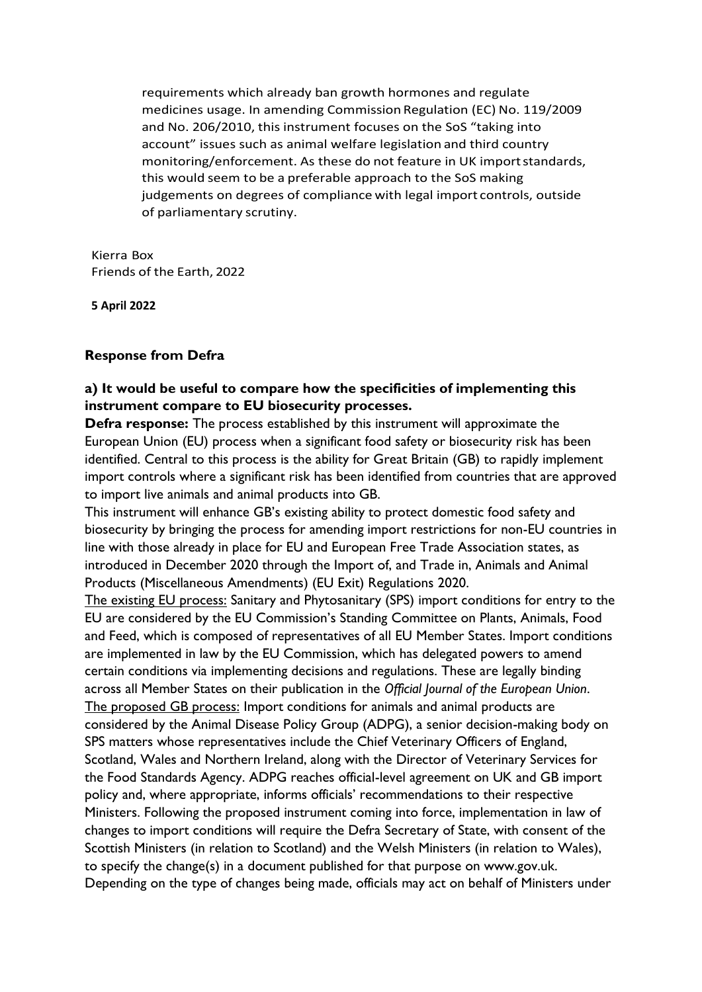requirements which already ban growth hormones and regulate medicines usage. In amending Commission Regulation (EC) No. 119/2009 and No. 206/2010, this instrument focuses on the SoS "taking into account" issues such as animal welfare legislation and third country monitoring/enforcement. As these do not feature in UK importstandards, this would seem to be a preferable approach to the SoS making judgements on degrees of compliance with legal import controls, outside of parliamentary scrutiny.

Kierra Box Friends of the Earth, 2022

**5 April 2022**

### **Response from Defra**

### **a) It would be useful to compare how the specificities of implementing this instrument compare to EU biosecurity processes.**

**Defra response:** The process established by this instrument will approximate the European Union (EU) process when a significant food safety or biosecurity risk has been identified. Central to this process is the ability for Great Britain (GB) to rapidly implement import controls where a significant risk has been identified from countries that are approved to import live animals and animal products into GB.

This instrument will enhance GB's existing ability to protect domestic food safety and biosecurity by bringing the process for amending import restrictions for non-EU countries in line with those already in place for EU and European Free Trade Association states, as introduced in December 2020 through the Import of, and Trade in, Animals and Animal Products (Miscellaneous Amendments) (EU Exit) Regulations 2020.

The existing EU process: Sanitary and Phytosanitary (SPS) import conditions for entry to the EU are considered by the EU Commission's Standing Committee on Plants, Animals, Food and Feed, which is composed of representatives of all EU Member States. Import conditions are implemented in law by the EU Commission, which has delegated powers to amend certain conditions via implementing decisions and regulations. These are legally binding across all Member States on their publication in the *Official Journal of the European Union*. The proposed GB process: Import conditions for animals and animal products are considered by the Animal Disease Policy Group (ADPG), a senior decision-making body on SPS matters whose representatives include the Chief Veterinary Officers of England, Scotland, Wales and Northern Ireland, along with the Director of Veterinary Services for the Food Standards Agency. ADPG reaches official-level agreement on UK and GB import policy and, where appropriate, informs officials' recommendations to their respective Ministers. Following the proposed instrument coming into force, implementation in law of changes to import conditions will require the Defra Secretary of State, with consent of the Scottish Ministers (in relation to Scotland) and the Welsh Ministers (in relation to Wales), to specify the change(s) in a document published for that purpose on www.gov.uk. Depending on the type of changes being made, officials may act on behalf of Ministers under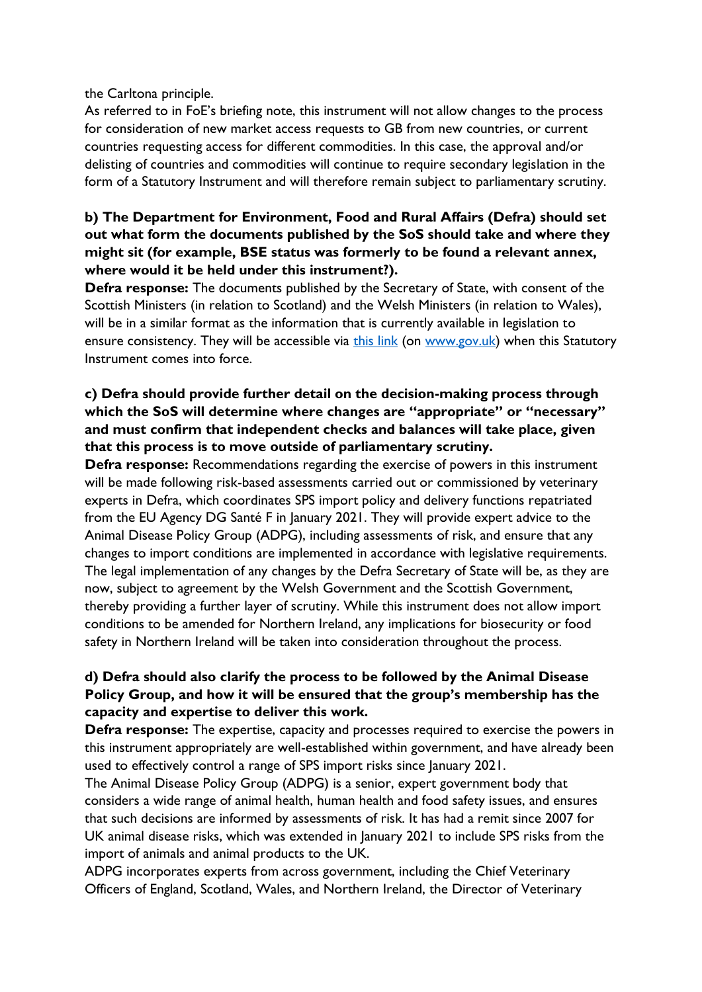the Carltona principle.

As referred to in FoE's briefing note, this instrument will not allow changes to the process for consideration of new market access requests to GB from new countries, or current countries requesting access for different commodities. In this case, the approval and/or delisting of countries and commodities will continue to require secondary legislation in the form of a Statutory Instrument and will therefore remain subject to parliamentary scrutiny.

# **b) The Department for Environment, Food and Rural Affairs (Defra) should set out what form the documents published by the SoS should take and where they might sit (for example, BSE status was formerly to be found a relevant annex, where would it be held under this instrument?).**

**Defra response:** The documents published by the Secretary of State, with consent of the Scottish Ministers (in relation to Scotland) and the Welsh Ministers (in relation to Wales), will be in a similar format as the information that is currently available in legislation to ensure consistency. They will be accessible via [this link](https://www.gov.uk/guidance/exporting-to-the-uk-countries-and-establishments-approved-to-export-animals-and-animal-products) (on [www.gov.uk\)](http://www.gov.uk/) when this Statutory Instrument comes into force.

# **c) Defra should provide further detail on the decision-making process through which the SoS will determine where changes are "appropriate" or "necessary" and must confirm that independent checks and balances will take place, given that this process is to move outside of parliamentary scrutiny.**

**Defra response:** Recommendations regarding the exercise of powers in this instrument will be made following risk-based assessments carried out or commissioned by veterinary experts in Defra, which coordinates SPS import policy and delivery functions repatriated from the EU Agency DG Santé F in January 2021. They will provide expert advice to the Animal Disease Policy Group (ADPG), including assessments of risk, and ensure that any changes to import conditions are implemented in accordance with legislative requirements. The legal implementation of any changes by the Defra Secretary of State will be, as they are now, subject to agreement by the Welsh Government and the Scottish Government, thereby providing a further layer of scrutiny. While this instrument does not allow import conditions to be amended for Northern Ireland, any implications for biosecurity or food safety in Northern Ireland will be taken into consideration throughout the process.

# **d) Defra should also clarify the process to be followed by the Animal Disease Policy Group, and how it will be ensured that the group's membership has the capacity and expertise to deliver this work.**

**Defra response:** The expertise, capacity and processes required to exercise the powers in this instrument appropriately are well-established within government, and have already been used to effectively control a range of SPS import risks since January 2021.

The Animal Disease Policy Group (ADPG) is a senior, expert government body that considers a wide range of animal health, human health and food safety issues, and ensures that such decisions are informed by assessments of risk. It has had a remit since 2007 for UK animal disease risks, which was extended in January 2021 to include SPS risks from the import of animals and animal products to the UK.

ADPG incorporates experts from across government, including the Chief Veterinary Officers of England, Scotland, Wales, and Northern Ireland, the Director of Veterinary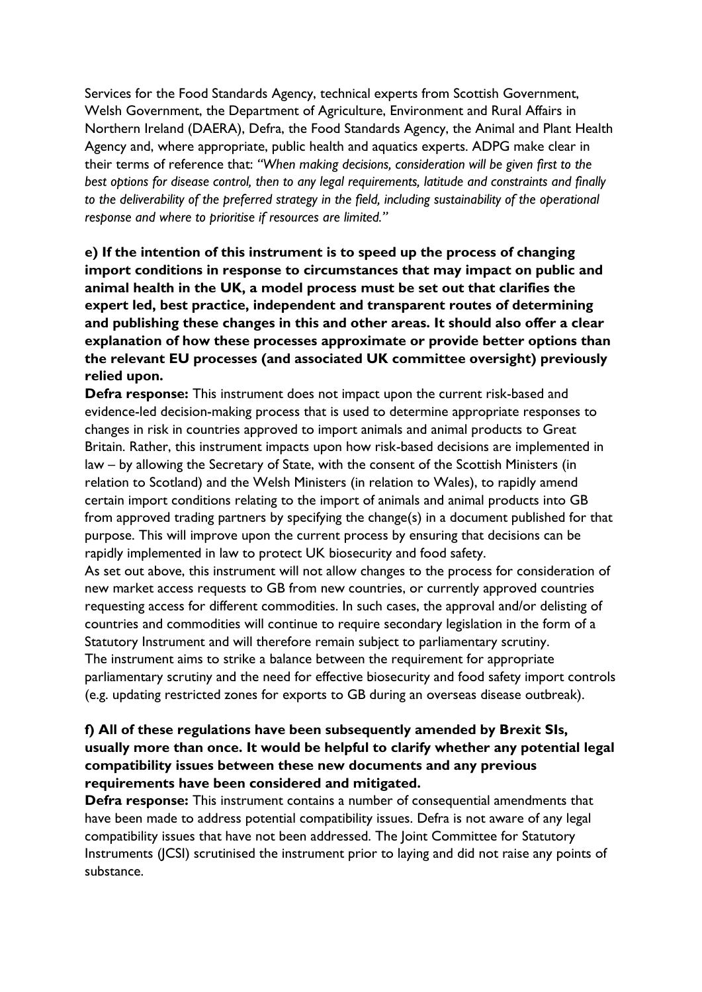Services for the Food Standards Agency, technical experts from Scottish Government, Welsh Government, the Department of Agriculture, Environment and Rural Affairs in Northern Ireland (DAERA), Defra, the Food Standards Agency, the Animal and Plant Health Agency and, where appropriate, public health and aquatics experts. ADPG make clear in their terms of reference that: *"When making decisions, consideration will be given first to the best options for disease control, then to any legal requirements, latitude and constraints and finally to the deliverability of the preferred strategy in the field, including sustainability of the operational response and where to prioritise if resources are limited."*

**e) If the intention of this instrument is to speed up the process of changing import conditions in response to circumstances that may impact on public and animal health in the UK, a model process must be set out that clarifies the expert led, best practice, independent and transparent routes of determining and publishing these changes in this and other areas. It should also offer a clear explanation of how these processes approximate or provide better options than the relevant EU processes (and associated UK committee oversight) previously relied upon.**

**Defra response:** This instrument does not impact upon the current risk-based and evidence-led decision-making process that is used to determine appropriate responses to changes in risk in countries approved to import animals and animal products to Great Britain. Rather, this instrument impacts upon how risk-based decisions are implemented in law – by allowing the Secretary of State, with the consent of the Scottish Ministers (in relation to Scotland) and the Welsh Ministers (in relation to Wales), to rapidly amend certain import conditions relating to the import of animals and animal products into GB from approved trading partners by specifying the change(s) in a document published for that purpose. This will improve upon the current process by ensuring that decisions can be rapidly implemented in law to protect UK biosecurity and food safety.

As set out above, this instrument will not allow changes to the process for consideration of new market access requests to GB from new countries, or currently approved countries requesting access for different commodities. In such cases, the approval and/or delisting of countries and commodities will continue to require secondary legislation in the form of a Statutory Instrument and will therefore remain subject to parliamentary scrutiny. The instrument aims to strike a balance between the requirement for appropriate parliamentary scrutiny and the need for effective biosecurity and food safety import controls (e.g. updating restricted zones for exports to GB during an overseas disease outbreak).

### **f) All of these regulations have been subsequently amended by Brexit SIs, usually more than once. It would be helpful to clarify whether any potential legal compatibility issues between these new documents and any previous requirements have been considered and mitigated.**

**Defra response:** This instrument contains a number of consequential amendments that have been made to address potential compatibility issues. Defra is not aware of any legal compatibility issues that have not been addressed. The Joint Committee for Statutory Instruments (JCSI) scrutinised the instrument prior to laying and did not raise any points of substance.